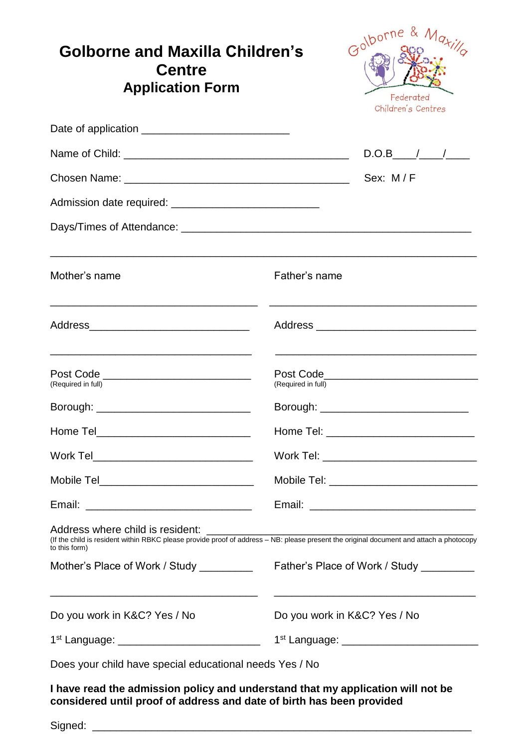| Golborne and Maxilla Children's<br><b>Centre</b><br><b>Application Form</b>                 | Golborne & Ma <sub>ti</sub><br>Federated<br>Children's Centres                                                                          |  |
|---------------------------------------------------------------------------------------------|-----------------------------------------------------------------------------------------------------------------------------------------|--|
|                                                                                             |                                                                                                                                         |  |
|                                                                                             | $D.O.B$ / /                                                                                                                             |  |
|                                                                                             | Sex: M/F                                                                                                                                |  |
|                                                                                             |                                                                                                                                         |  |
|                                                                                             |                                                                                                                                         |  |
| Mother's name                                                                               | Father's name                                                                                                                           |  |
|                                                                                             |                                                                                                                                         |  |
| Post Code _____________________________<br>(Required in full)                               | (Required in full)                                                                                                                      |  |
|                                                                                             |                                                                                                                                         |  |
|                                                                                             |                                                                                                                                         |  |
| Work Tel_______________________________                                                     | Work Tel: _______________________________                                                                                               |  |
| Mobile Tel________________________________                                                  | Mobile Tel: _________________________________                                                                                           |  |
|                                                                                             |                                                                                                                                         |  |
| Address where child is resident:<br>to this form)                                           | (If the child is resident within RBKC please provide proof of address – NB: please present the original document and attach a photocopy |  |
| Mother's Place of Work / Study                                                              | Father's Place of Work / Study _________                                                                                                |  |
| <u> 1989 - Johann Stoff, amerikansk politiker (d. 1989)</u><br>Do you work in K&C? Yes / No | <u> 1989 - Johann Stoff, amerikansk politiker (* 1908)</u><br>Do you work in K&C? Yes / No                                              |  |
| 1 <sup>st</sup> Language: ______________________________                                    |                                                                                                                                         |  |
| Does your child have special educational needs Yes / No                                     |                                                                                                                                         |  |
|                                                                                             |                                                                                                                                         |  |

**I have read the admission policy and understand that my application will not be considered until proof of address and date of birth has been provided**

Signed: \_\_\_\_\_\_\_\_\_\_\_\_\_\_\_\_\_\_\_\_\_\_\_\_\_\_\_\_\_\_\_\_\_\_\_\_\_\_\_\_\_\_\_\_\_\_\_\_\_\_\_\_\_\_\_\_\_\_\_\_\_\_\_\_